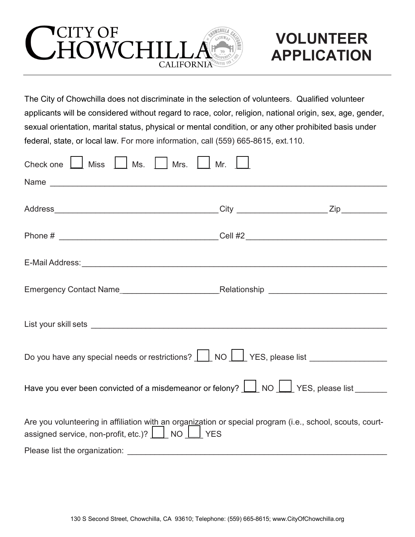

## **VOLUNTEER APPLICATION**

The City of Chowchilla does not discriminate in the selection of volunteers. Qualified volunteer applicants will be considered without regard to race, color, religion, national origin, sex, age, gender, sexual orientation, marital status, physical or mental condition, or any other prohibited basis under federal, state, or local law. For more information, call (559) 665-8615, ext.110.

| Check one   Miss   Ms.   Mrs.<br>Mr.                                                                                                                         |  |  |  |  |
|--------------------------------------------------------------------------------------------------------------------------------------------------------------|--|--|--|--|
|                                                                                                                                                              |  |  |  |  |
|                                                                                                                                                              |  |  |  |  |
|                                                                                                                                                              |  |  |  |  |
|                                                                                                                                                              |  |  |  |  |
|                                                                                                                                                              |  |  |  |  |
|                                                                                                                                                              |  |  |  |  |
| Do you have any special needs or restrictions?   NO   YES, please list                                                                                       |  |  |  |  |
| Have you ever been convicted of a misdemeanor or felony? $\boxed{\phantom{1}}$ NO $\boxed{\phantom{1}}$ YES, please list ______                              |  |  |  |  |
| Are you volunteering in affiliation with an organization or special program (i.e., school, scouts, court-<br>assigned service, non-profit, etc.)? [ NO [ VES |  |  |  |  |
|                                                                                                                                                              |  |  |  |  |